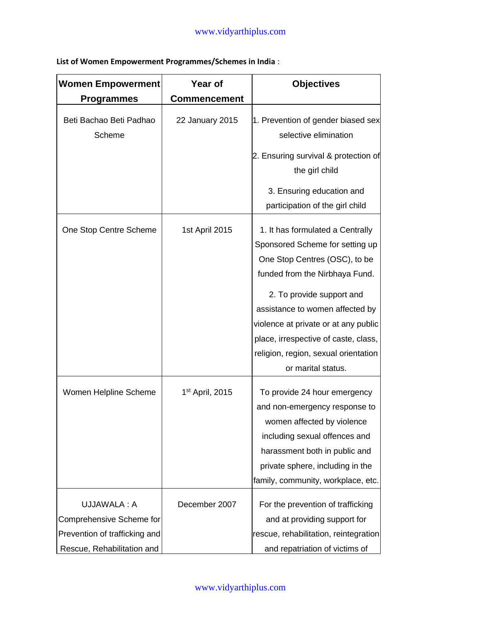**List of Women Empowerment Programmes/Schemes in India** :

| <b>Women Empowerment</b>                                                                               | Year of                     | <b>Objectives</b>                                                                                                                                                                                                                                                                                                                                    |
|--------------------------------------------------------------------------------------------------------|-----------------------------|------------------------------------------------------------------------------------------------------------------------------------------------------------------------------------------------------------------------------------------------------------------------------------------------------------------------------------------------------|
| <b>Programmes</b>                                                                                      | <b>Commencement</b>         |                                                                                                                                                                                                                                                                                                                                                      |
| Beti Bachao Beti Padhao<br>Scheme                                                                      | 22 January 2015             | 1. Prevention of gender biased sex<br>selective elimination                                                                                                                                                                                                                                                                                          |
|                                                                                                        |                             | 2. Ensuring survival & protection of<br>the girl child                                                                                                                                                                                                                                                                                               |
|                                                                                                        |                             | 3. Ensuring education and<br>participation of the girl child                                                                                                                                                                                                                                                                                         |
| One Stop Centre Scheme                                                                                 | 1st April 2015              | 1. It has formulated a Centrally<br>Sponsored Scheme for setting up<br>One Stop Centres (OSC), to be<br>funded from the Nirbhaya Fund.<br>2. To provide support and<br>assistance to women affected by<br>violence at private or at any public<br>place, irrespective of caste, class,<br>religion, region, sexual orientation<br>or marital status. |
| Women Helpline Scheme                                                                                  | 1 <sup>st</sup> April, 2015 | To provide 24 hour emergency<br>and non-emergency response to<br>women affected by violence<br>including sexual offences and<br>harassment both in public and<br>private sphere, including in the<br>family, community, workplace, etc.                                                                                                              |
| UJJAWALA: A<br>Comprehensive Scheme for<br>Prevention of trafficking and<br>Rescue, Rehabilitation and | December 2007               | For the prevention of trafficking<br>and at providing support for<br>rescue, rehabilitation, reintegration<br>and repatriation of victims of                                                                                                                                                                                                         |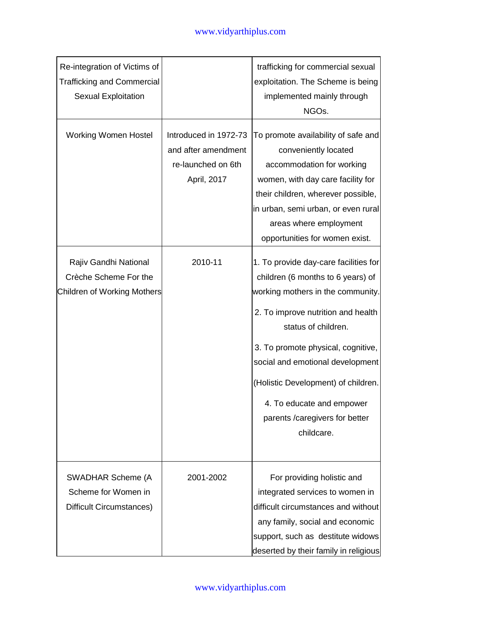| Re-integration of Victims of<br><b>Trafficking and Commercial</b><br>Sexual Exploitation |                                                                                   | trafficking for commercial sexual<br>exploitation. The Scheme is being<br>implemented mainly through<br>NGOs.                                                                                                                                                                                                                                                               |
|------------------------------------------------------------------------------------------|-----------------------------------------------------------------------------------|-----------------------------------------------------------------------------------------------------------------------------------------------------------------------------------------------------------------------------------------------------------------------------------------------------------------------------------------------------------------------------|
| <b>Working Women Hostel</b>                                                              | Introduced in 1972-73<br>and after amendment<br>re-launched on 6th<br>April, 2017 | To promote availability of safe and<br>conveniently located<br>accommodation for working<br>women, with day care facility for<br>their children, wherever possible,<br>in urban, semi urban, or even rural<br>areas where employment<br>opportunities for women exist.                                                                                                      |
| Rajiv Gandhi National<br>Crèche Scheme For the<br>Children of Working Mothers            | 2010-11                                                                           | 1. To provide day-care facilities for<br>children (6 months to 6 years) of<br>working mothers in the community.<br>2. To improve nutrition and health<br>status of children.<br>3. To promote physical, cognitive,<br>social and emotional development<br>(Holistic Development) of children.<br>4. To educate and empower<br>parents / caregivers for better<br>childcare. |
| SWADHAR Scheme (A<br>Scheme for Women in<br>Difficult Circumstances)                     | 2001-2002                                                                         | For providing holistic and<br>integrated services to women in<br>difficult circumstances and without<br>any family, social and economic<br>support, such as destitute widows<br>deserted by their family in religious                                                                                                                                                       |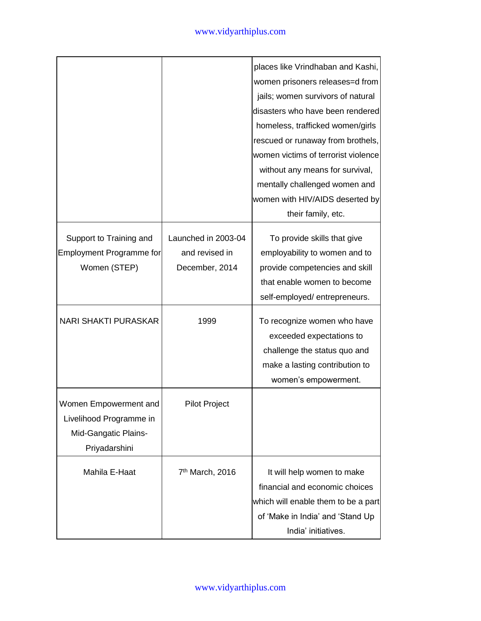## www.vidyarthiplus.com

|                                                                                           |                                                         | places like Vrindhaban and Kashi,<br>women prisoners releases=d from<br>jails; women survivors of natural<br>disasters who have been rendered<br>homeless, trafficked women/girls<br>rescued or runaway from brothels, |
|-------------------------------------------------------------------------------------------|---------------------------------------------------------|------------------------------------------------------------------------------------------------------------------------------------------------------------------------------------------------------------------------|
|                                                                                           |                                                         | women victims of terrorist violence<br>without any means for survival,<br>mentally challenged women and<br>women with HIV/AIDS deserted by<br>their family, etc.                                                       |
| Support to Training and<br><b>Employment Programme for</b><br>Women (STEP)                | Launched in 2003-04<br>and revised in<br>December, 2014 | To provide skills that give<br>employability to women and to<br>provide competencies and skill<br>that enable women to become<br>self-employed/entrepreneurs.                                                          |
| <b>NARI SHAKTI PURASKAR</b>                                                               | 1999                                                    | To recognize women who have<br>exceeded expectations to<br>challenge the status quo and<br>make a lasting contribution to<br>women's empowerment.                                                                      |
| Women Empowerment and<br>Livelihood Programme in<br>Mid-Gangatic Plains-<br>Priyadarshini | <b>Pilot Project</b>                                    |                                                                                                                                                                                                                        |
| Mahila E-Haat                                                                             | 7 <sup>th</sup> March, 2016                             | It will help women to make<br>financial and economic choices<br>which will enable them to be a part<br>of 'Make in India' and 'Stand Up<br>India' initiatives.                                                         |